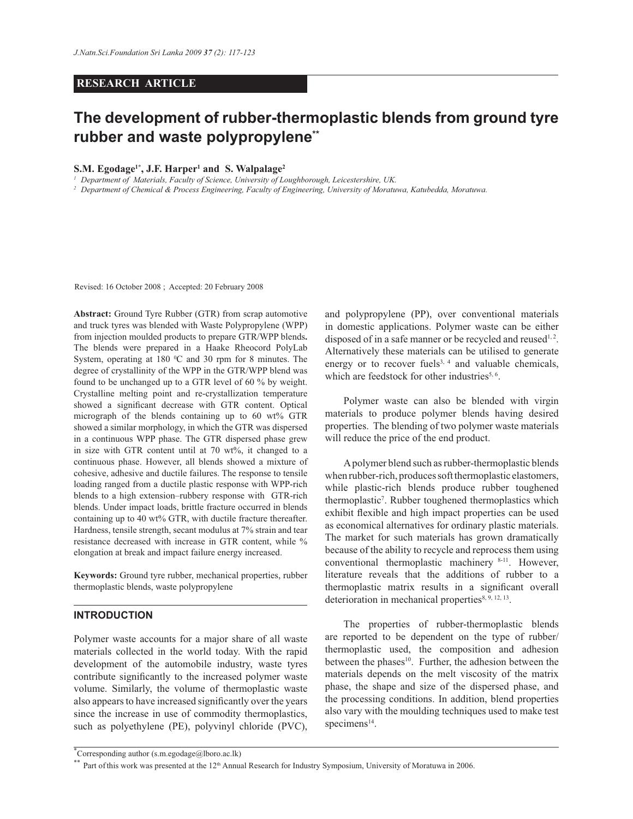### **RESEARCH ARTICLE**

# **The development of rubber-thermoplastic blends from ground tyre rubber and waste polypropylene\*\***

#### **S.M. Egodage1\*, J.F. Harper<sup>1</sup> and S. Walpalage<sup>2</sup>**

*1 Department of Materials, Faculty of Science, University of Loughborough, Leicestershire, UK.*

*2 Department of Chemical & Process Engineering, Faculty of Engineering, University of Moratuwa, Katubedda, Moratuwa.*

Revised: 16 October 2008 ; Accepted: 20 February 2008

**Abstract:** Ground Tyre Rubber (GTR) from scrap automotive and truck tyres was blended with Waste Polypropylene (WPP) from injection moulded products to prepare GTR/WPP blends**.**  The blends were prepared in a Haake Rheocord PolyLab System, operating at  $180\text{ °C}$  and  $30\text{ rpm}$  for 8 minutes. The degree of crystallinity of the WPP in the GTR/WPP blend was found to be unchanged up to a GTR level of 60 % by weight. Crystalline melting point and re-crystallization temperature showed a significant decrease with GTR content. Optical micrograph of the blends containing up to 60 wt% GTR showed a similar morphology, in which the GTR was dispersed in a continuous WPP phase. The GTR dispersed phase grew in size with GTR content until at 70 wt%, it changed to a continuous phase. However, all blends showed a mixture of cohesive, adhesive and ductile failures. The response to tensile loading ranged from a ductile plastic response with WPP-rich blends to a high extension–rubbery response with GTR-rich blends. Under impact loads, brittle fracture occurred in blends containing up to 40 wt% GTR, with ductile fracture thereafter. Hardness, tensile strength, secant modulus at 7% strain and tear resistance decreased with increase in GTR content, while % elongation at break and impact failure energy increased.

**Keywords:** Ground tyre rubber, mechanical properties, rubber thermoplastic blends, waste polypropylene

# **INTRODUCTION**

Polymer waste accounts for a major share of all waste materials collected in the world today. With the rapid development of the automobile industry, waste tyres contribute significantly to the increased polymer waste volume. Similarly, the volume of thermoplastic waste also appears to have increased significantly over the years since the increase in use of commodity thermoplastics, such as polyethylene (PE), polyvinyl chloride (PVC),

and polypropylene (PP), over conventional materials in domestic applications. Polymer waste can be either disposed of in a safe manner or be recycled and reused<sup>1,2</sup>. Alternatively these materials can be utilised to generate energy or to recover fuels<sup>3, 4</sup> and valuable chemicals, which are feedstock for other industries<sup>5, 6</sup>.

 Polymer waste can also be blended with virgin materials to produce polymer blends having desired properties. The blending of two polymer waste materials will reduce the price of the end product.

 A polymer blend such as rubber-thermoplastic blends when rubber-rich, produces soft thermoplastic elastomers, while plastic-rich blends produce rubber toughened thermoplastic<sup>7</sup>. Rubber toughened thermoplastics which exhibit flexible and high impact properties can be used as economical alternatives for ordinary plastic materials. The market for such materials has grown dramatically because of the ability to recycle and reprocess them using conventional thermoplastic machinery 8-11. However, literature reveals that the additions of rubber to a thermoplastic matrix results in a significant overall deterioration in mechanical properties $8, 9, 12, 13$ .

 The properties of rubber-thermoplastic blends are reported to be dependent on the type of rubber/ thermoplastic used, the composition and adhesion between the phases<sup>10</sup>. Further, the adhesion between the materials depends on the melt viscosity of the matrix phase, the shape and size of the dispersed phase, and the processing conditions. In addition, blend properties also vary with the moulding techniques used to make test  $specimens<sup>14</sup>$ .

<sup>\*</sup>Corresponding author (s.m.egodage@lboro.ac.lk)

 $*$  Part of this work was presented at the 12<sup>th</sup> Annual Research for Industry Symposium, University of Moratuwa in 2006.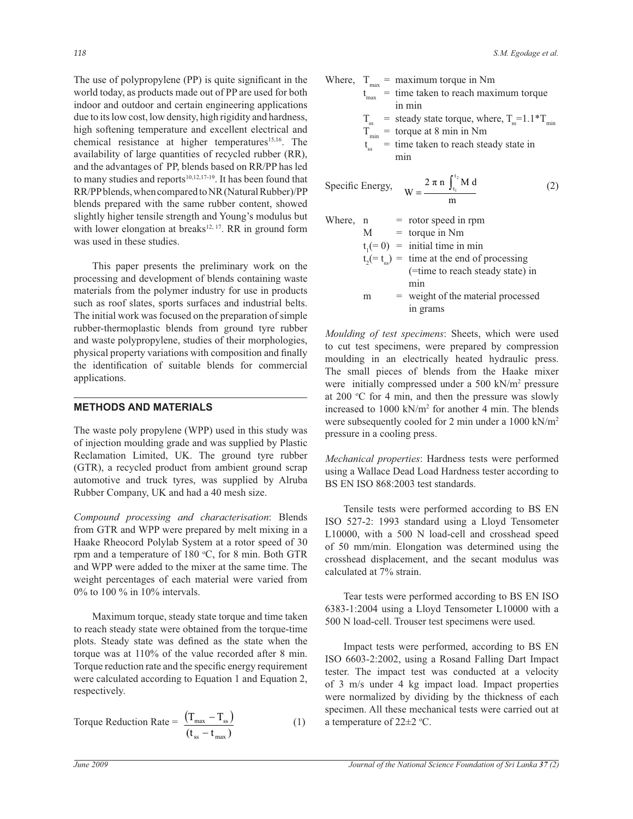The use of polypropylene (PP) is quite significant in the world today, as products made out of PP are used for both indoor and outdoor and certain engineering applications due to its low cost, low density, high rigidity and hardness, high softening temperature and excellent electrical and chemical resistance at higher temperatures<sup>15,16</sup>. The availability of large quantities of recycled rubber (RR), and the advantages of PP, blends based on RR/PP has led to many studies and reports $10,12,17-19$ . It has been found that RR/PP blends, when compared to NR (Natural Rubber)/PP blends prepared with the same rubber content, showed slightly higher tensile strength and Young's modulus but with lower elongation at breaks<sup>12, 17</sup>. RR in ground form was used in these studies.

 This paper presents the preliminary work on the processing and development of blends containing waste materials from the polymer industry for use in products such as roof slates, sports surfaces and industrial belts. The initial work was focused on the preparation of simple rubber-thermoplastic blends from ground tyre rubber and waste polypropylene, studies of their morphologies, physical property variations with composition and finally the identification of suitable blends for commercial applications.

## **METHODS AND MATERIALS**

The waste poly propylene (WPP) used in this study was of injection moulding grade and was supplied by Plastic Reclamation Limited, UK. The ground tyre rubber (GTR), a recycled product from ambient ground scrap automotive and truck tyres, was supplied by Alruba Rubber Company, UK and had a 40 mesh size.

*Compound processing and characterisation*: Blends from GTR and WPP were prepared by melt mixing in a Haake Rheocord Polylab System at a rotor speed of 30 rpm and a temperature of  $180 \degree C$ , for 8 min. Both GTR and WPP were added to the mixer at the same time. The weight percentages of each material were varied from 0% to 100 % in 10% intervals.

 Maximum torque, steady state torque and time taken to reach steady state were obtained from the torque-time plots. Steady state was defined as the state when the torque was at 110% of the value recorded after 8 min. Torque reduction rate and the specific energy requirement were calculated according to Equation 1 and Equation 2, respectively.

Torque Reduction Rate = 
$$
\frac{(\mathbf{T}_{\text{max}} - \mathbf{T}_{\text{ss}})}{(\mathbf{t}_{\text{ss}} - \mathbf{t}_{\text{max}})}
$$
 (1)

Where, 
$$
T_{max}
$$
 = maximum torque in Nm  
\n $t_{max}$  = time taken to reach maximum torque  
\nin min

 $T_{ss}$  = steady state torque, where,  $T_{ss}$ =1.1\* $T_{min}$ 

- $T_{\min}$  = torque at 8 min in Nm
- t ss = time taken to reach steady state in min

$$
\text{Specific Energy, } \quad W = \frac{2 \pi \, \text{n} \, \int_{t_1}^{t_2} \text{M d}}{\text{m}} \tag{2}
$$

| Where, n |   | $=$ rotor speed in rpm                                   |
|----------|---|----------------------------------------------------------|
|          | M | $=$ torque in Nm                                         |
|          |   | $t1(= 0) =$ initial time in min                          |
|          |   | $t_2(=\tfrac{1}{\csc} ) =$ time at the end of processing |
|          |   | (=time to reach steady state) in                         |
|          |   | min                                                      |
|          | m | = weight of the material processed                       |
|          |   | in grams                                                 |

*Moulding of test specimens*: Sheets, which were used to cut test specimens, were prepared by compression moulding in an electrically heated hydraulic press. The small pieces of blends from the Haake mixer were initially compressed under a 500 kN/m<sup>2</sup> pressure at 200  $\degree$ C for 4 min, and then the pressure was slowly increased to 1000 kN/m<sup>2</sup> for another 4 min. The blends were subsequently cooled for 2 min under a 1000 kN/m<sup>2</sup> pressure in a cooling press.

*Mechanical properties*: Hardness tests were performed using a Wallace Dead Load Hardness tester according to BS EN ISO 868:2003 test standards.

 Tensile tests were performed according to BS EN ISO 527-2: 1993 standard using a Lloyd Tensometer L10000, with a 500 N load-cell and crosshead speed of 50 mm/min. Elongation was determined using the crosshead displacement, and the secant modulus was calculated at 7% strain.

 Tear tests were performed according to BS EN ISO 6383-1:2004 using a Lloyd Tensometer L10000 with a 500 N load-cell. Trouser test specimens were used.

 Impact tests were performed, according to BS EN ISO 6603-2:2002, using a Rosand Falling Dart Impact tester. The impact test was conducted at a velocity of 3 m/s under 4 kg impact load. Impact properties were normalized by dividing by the thickness of each specimen. All these mechanical tests were carried out at a temperature of  $22 \pm 2$  °C.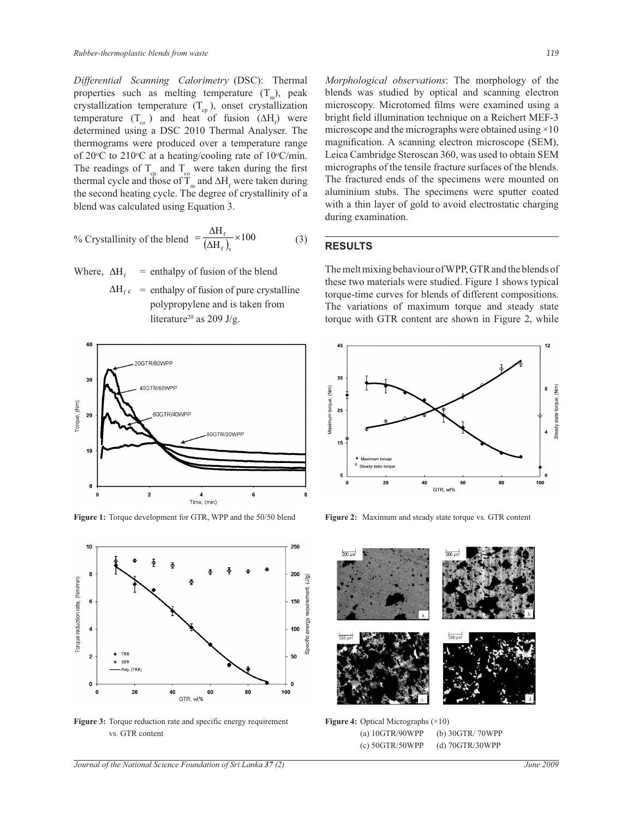*Differential Scanning Calorimetry* (DSC): Thermal properties such as melting temperature  $(T_m)$ , peak crystallization temperature  $(T_{cp})$ , onset crystallization temperature  $(T_{\rm co})$  and heat of fusion  $(\Delta H_{\rm f})$  were determined using a DSC 2010 Thermal Analyser. The thermograms were produced over a temperature range of 20 $\degree$ C to 210 $\degree$ C at a heating/cooling rate of 10 $\degree$ C/min. The readings of  $T_{cp}$  and  $T_{co}$  were taken during the first thermal cycle and those of  $T_m$  and  $\Delta H_f$  were taken during the second heating cycle. The degree of crystallinity of a blend was calculated using Equation 3.

% Crystallinity of the blend 
$$
=\frac{\Delta H_f}{(\Delta H_f)_c} \times 100
$$
 (3)

Where,  $\Delta H_f$ = enthalpy of fusion of the blend

> $\Delta H_f$  = enthalpy of fusion of pure crystalline polypropylene and is taken from literature<sup>20</sup> as 209 J/g.



**Figure 1:** Torque development for GTR, WPP and the 50/50 blend **Figure 2:** Maximum and steady state torque vs. GTR content



**Figure 3:** Torque reduction rate and specific energy requirement vs. GTR content

*Journal of the National Science Foundation of Sri Lanka 37 (2) June 2009* 

*Morphological observations*: The morphology of the blends was studied by optical and scanning electron microscopy. Microtomed films were examined using a bright field illumination technique on a Reichert MEF-3 microscope and the micrographs were obtained using  $\times 10$ magnification. A scanning electron microscope (SEM), Leica Cambridge Steroscan 360, was used to obtain SEM micrographs of the tensile fracture surfaces of the blends. The fractured ends of the specimens were mounted on aluminium stubs. The specimens were sputter coated with a thin layer of gold to avoid electrostatic charging during examination.

#### **RESULTS**

The melt mixing behaviour of WPP, GTR and the blends of these two materials were studied. Figure 1 shows typical torque-time curves for blends of different compositions. The variations of maximum torque and steady state torque with GTR content are shown in Figure 2, while





**Figure 4:** Optical Micrographs (×10) (a) 10GTR/90WPP (b) 30GTR/ 70WPP (c) 50GTR/50WPP (d) 70GTR/30WPP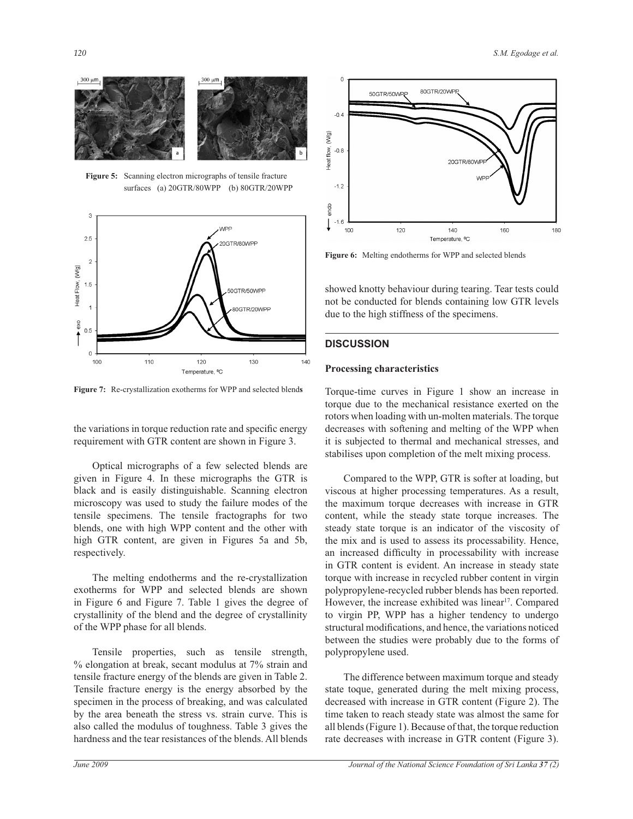

**Figure 5:** Scanning electron micrographs of tensile fracture surfaces (a) 20GTR/80WPP (b) 80GTR/20WPP



**Figure 7:** Re-crystallization exotherms for WPP and selected blend**s**

the variations in torque reduction rate and specific energy requirement with GTR content are shown in Figure 3.

 Optical micrographs of a few selected blends are given in Figure 4. In these micrographs the GTR is black and is easily distinguishable. Scanning electron microscopy was used to study the failure modes of the tensile specimens. The tensile fractographs for two blends, one with high WPP content and the other with high GTR content, are given in Figures 5a and 5b, respectively.

 The melting endotherms and the re-crystallization exotherms for WPP and selected blends are shown in Figure 6 and Figure 7. Table 1 gives the degree of crystallinity of the blend and the degree of crystallinity of the WPP phase for all blends.

Tensile properties, such as tensile strength, % elongation at break, secant modulus at 7% strain and tensile fracture energy of the blends are given in Table 2. Tensile fracture energy is the energy absorbed by the specimen in the process of breaking, and was calculated by the area beneath the stress vs. strain curve. This is also called the modulus of toughness. Table 3 gives the hardness and the tear resistances of the blends. All blends



**Figure 6:** Melting endotherms for WPP and selected blends

showed knotty behaviour during tearing. Tear tests could not be conducted for blends containing low GTR levels due to the high stiffness of the specimens.

# **DISCUSSION**

#### **Processing characteristics**

Torque-time curves in Figure 1 show an increase in torque due to the mechanical resistance exerted on the rotors when loading with un-molten materials. The torque decreases with softening and melting of the WPP when it is subjected to thermal and mechanical stresses, and stabilises upon completion of the melt mixing process.

 Compared to the WPP, GTR is softer at loading, but viscous at higher processing temperatures. As a result, the maximum torque decreases with increase in GTR content, while the steady state torque increases. The steady state torque is an indicator of the viscosity of the mix and is used to assess its processability. Hence, an increased difficulty in processability with increase in GTR content is evident. An increase in steady state torque with increase in recycled rubber content in virgin polypropylene-recycled rubber blends has been reported. However, the increase exhibited was linear<sup>17</sup>. Compared to virgin PP, WPP has a higher tendency to undergo structural modifications, and hence, the variations noticed between the studies were probably due to the forms of polypropylene used.

 The difference between maximum torque and steady state toque, generated during the melt mixing process, decreased with increase in GTR content (Figure 2). The time taken to reach steady state was almost the same for all blends (Figure 1). Because of that, the torque reduction rate decreases with increase in GTR content (Figure 3).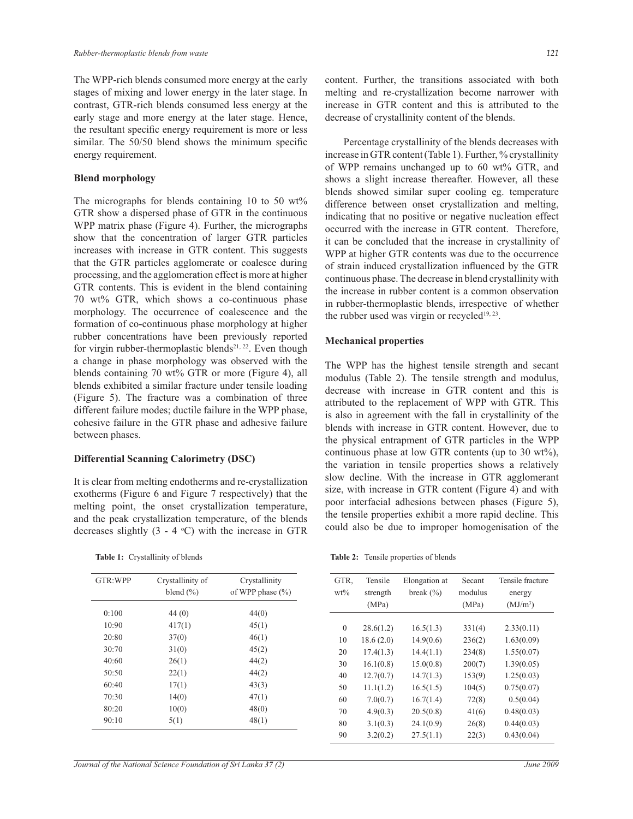The WPP-rich blends consumed more energy at the early stages of mixing and lower energy in the later stage. In contrast, GTR-rich blends consumed less energy at the early stage and more energy at the later stage. Hence, the resultant specific energy requirement is more or less similar. The 50/50 blend shows the minimum specific energy requirement.

### **Blend morphology**

The micrographs for blends containing 10 to 50  $\text{wt}\%$ GTR show a dispersed phase of GTR in the continuous WPP matrix phase (Figure 4). Further, the micrographs show that the concentration of larger GTR particles increases with increase in GTR content. This suggests that the GTR particles agglomerate or coalesce during processing, and the agglomeration effect is more at higher GTR contents. This is evident in the blend containing 70 wt% GTR, which shows a co-continuous phase morphology. The occurrence of coalescence and the formation of co-continuous phase morphology at higher rubber concentrations have been previously reported for virgin rubber-thermoplastic blends<sup>21, 22</sup>. Even though a change in phase morphology was observed with the blends containing 70 wt% GTR or more (Figure 4), all blends exhibited a similar fracture under tensile loading (Figure 5). The fracture was a combination of three different failure modes; ductile failure in the WPP phase, cohesive failure in the GTR phase and adhesive failure between phases.

### **Differential Scanning Calorimetry (DSC)**

It is clear from melting endotherms and re-crystallization exotherms (Figure 6 and Figure 7 respectively) that the melting point, the onset crystallization temperature, and the peak crystallization temperature, of the blends decreases slightly  $(3 - 4 \degree C)$  with the increase in GTR

GTR:WPP Crystallinity of Crystallinity

 0:100 44 (0) 44(0)  $10:90$   $417(1)$   $45(1)$  20:80 37(0) 46(1) 30:70 31(0) 45(2) 40:60 26(1) 44(2) 50:50 22(1) 44(2)  $60:40$   $17(1)$   $43(3)$  70:30 14(0) 47(1) 80:20 10(0) 48(0)  $90:10$   $5(1)$   $48(1)$ 

blend  $(\%)$  of WPP phase  $(\%)$ 

 **Table 1:** Crystallinity of blends

content. Further, the transitions associated with both melting and re-crystallization become narrower with increase in GTR content and this is attributed to the decrease of crystallinity content of the blends.

 Percentage crystallinity of the blends decreases with increase in GTR content (Table 1). Further, % crystallinity of WPP remains unchanged up to 60 wt% GTR, and shows a slight increase thereafter. However, all these blends showed similar super cooling eg. temperature difference between onset crystallization and melting, indicating that no positive or negative nucleation effect occurred with the increase in GTR content. Therefore, it can be concluded that the increase in crystallinity of WPP at higher GTR contents was due to the occurrence of strain induced crystallization influenced by the GTR continuous phase. The decrease in blend crystallinity with the increase in rubber content is a common observation in rubber-thermoplastic blends, irrespective of whether the rubber used was virgin or recycled<sup>19, 23</sup>.

#### **Mechanical properties**

The WPP has the highest tensile strength and secant modulus (Table 2). The tensile strength and modulus, decrease with increase in GTR content and this is attributed to the replacement of WPP with GTR. This is also in agreement with the fall in crystallinity of the blends with increase in GTR content. However, due to the physical entrapment of GTR particles in the WPP continuous phase at low GTR contents (up to 30 wt%), the variation in tensile properties shows a relatively slow decline. With the increase in GTR agglomerant size, with increase in GTR content (Figure 4) and with poor interfacial adhesions between phases (Figure 5), the tensile properties exhibit a more rapid decline. This could also be due to improper homogenisation of the

**Table 2:** Tensile properties of blends

| GTR.<br>$wt\%$ | Tensile<br>strength<br>(MPa) | Elongation at<br>break $(\% )$ | Secant<br>modulus<br>(MPa) | Tensile fracture<br>energy<br>(MJ/m <sup>3</sup> ) |
|----------------|------------------------------|--------------------------------|----------------------------|----------------------------------------------------|
| $\mathbf{0}$   | 28.6(1.2)                    | 16.5(1.3)                      | 331(4)                     | 2.33(0.11)                                         |
| 10             | 18.6(2.0)                    | 14.9(0.6)                      | 236(2)                     | 1.63(0.09)                                         |
| 20             | 17.4(1.3)                    | 14.4(1.1)                      | 234(8)                     | 1.55(0.07)                                         |
| 30<br>40       | 16.1(0.8)<br>12.7(0.7)       | 15.0(0.8)<br>14.7(1.3)         | 200(7)<br>153(9)           | 1.39(0.05)<br>1.25(0.03)                           |
| 50             | 11.1(1.2)                    | 16.5(1.5)                      | 104(5)                     | 0.75(0.07)                                         |
| 60             | 7.0(0.7)                     | 16.7(1.4)                      | 72(8)                      | 0.5(0.04)                                          |
| 70             | 4.9(0.3)                     | 20.5(0.8)                      | 41(6)                      | 0.48(0.03)                                         |
| 80             | 3.1(0.3)                     | 24.1(0.9)                      | 26(8)                      | 0.44(0.03)                                         |
| 90             | 3.2(0.2)                     | 27.5(1.1)                      | 22(3)                      | 0.43(0.04)                                         |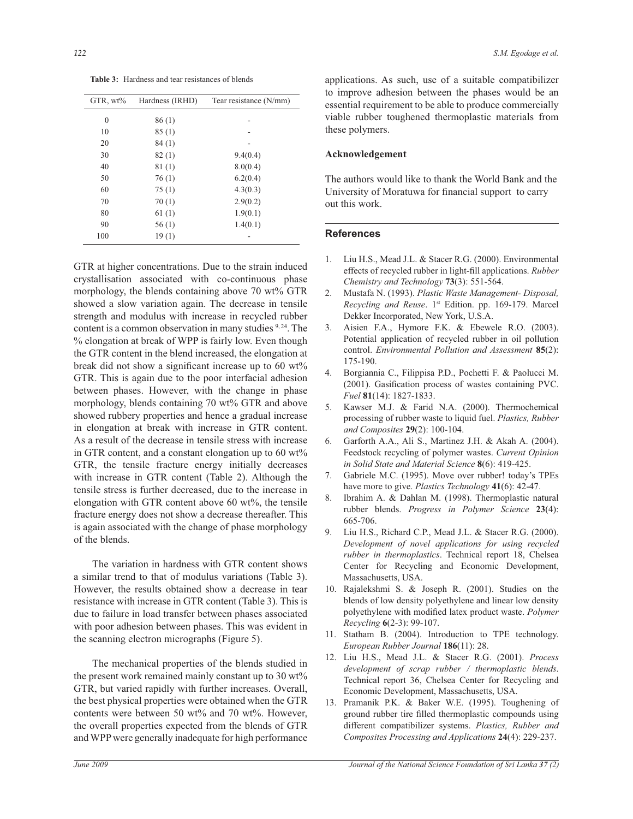**Table 3:** Hardness and tear resistances of blends

| GTR, $wt\%$  | Hardness (IRHD) | Tear resistance (N/mm) |
|--------------|-----------------|------------------------|
| $\mathbf{0}$ | 86(1)           |                        |
| 10           | 85(1)           |                        |
| 20           | 84(1)           |                        |
| 30           | 82(1)           | 9.4(0.4)               |
| 40           | 81(1)           | 8.0(0.4)               |
| 50           | 76(1)           | 6.2(0.4)               |
| 60           | 75(1)           | 4.3(0.3)               |
| 70           | 70(1)           | 2.9(0.2)               |
| 80           | 61(1)           | 1.9(0.1)               |
| 90           | 56(1)           | 1.4(0.1)               |
| 100          | 19(1)           |                        |

GTR at higher concentrations. Due to the strain induced crystallisation associated with co-continuous phase morphology, the blends containing above 70 wt% GTR showed a slow variation again. The decrease in tensile strength and modulus with increase in recycled rubber content is a common observation in many studies <sup>9, 24</sup>. The % elongation at break of WPP is fairly low. Even though the GTR content in the blend increased, the elongation at break did not show a significant increase up to 60 wt% GTR. This is again due to the poor interfacial adhesion between phases. However, with the change in phase morphology, blends containing 70 wt% GTR and above showed rubbery properties and hence a gradual increase in elongation at break with increase in GTR content. As a result of the decrease in tensile stress with increase in GTR content, and a constant elongation up to  $60 \text{ wt\%}$ GTR, the tensile fracture energy initially decreases with increase in GTR content (Table 2). Although the tensile stress is further decreased, due to the increase in elongation with GTR content above 60 wt%, the tensile fracture energy does not show a decrease thereafter. This is again associated with the change of phase morphology of the blends.

 The variation in hardness with GTR content shows a similar trend to that of modulus variations (Table 3). However, the results obtained show a decrease in tear resistance with increase in GTR content (Table 3). This is due to failure in load transfer between phases associated with poor adhesion between phases. This was evident in the scanning electron micrographs (Figure 5).

 The mechanical properties of the blends studied in the present work remained mainly constant up to 30 wt% GTR, but varied rapidly with further increases. Overall, the best physical properties were obtained when the GTR contents were between 50 wt% and 70 wt%. However, the overall properties expected from the blends of GTR and WPP were generally inadequate for high performance

applications. As such, use of a suitable compatibilizer to improve adhesion between the phases would be an essential requirement to be able to produce commercially viable rubber toughened thermoplastic materials from these polymers.

## **Acknowledgement**

The authors would like to thank the World Bank and the University of Moratuwa for financial support to carry out this work.

#### **References**

- 1. Liu H.S., Mead J.L. & Stacer R.G. (2000). Environmental effects of recycled rubber in light-fill applications. *Rubber Chemistry and Technology* **73**(3): 551-564.
- 2. Mustafa N. (1993). *Plastic Waste Management- Disposal, Recycling and Reuse*. 1st Edition. pp. 169-179. Marcel Dekker Incorporated, New York, U.S.A.
- 3. Aisien F.A., Hymore F.K. & Ebewele R.O. (2003). Potential application of recycled rubber in oil pollution control. *Environmental Pollution and Assessment* **85**(2): 175-190.
- 4. Borgiannia C., Filippisa P.D., Pochetti F. & Paolucci M. (2001). Gasification process of wastes containing PVC. *Fuel* **81**(14): 1827-1833.
- 5. Kawser M.J. & Farid N.A. (2000). Thermochemical processing of rubber waste to liquid fuel. *Plastics, Rubber and Composites* **29**(2): 100-104.
- 6. Garforth A.A., Ali S., Martinez J.H. & Akah A. (2004). Feedstock recycling of polymer wastes. *Current Opinion in Solid State and Material Science* **8**(6): 419-425.
- 7. Gabriele M.C. (1995). Move over rubber! today's TPEs have more to give. *Plastics Technology* **41**(6): 42-47.
- 8. Ibrahim A. & Dahlan M. (1998). Thermoplastic natural rubber blends. *Progress in Polymer Science* **23**(4): 665-706.
- 9. Liu H.S., Richard C.P., Mead J.L. & Stacer R.G. (2000). *Development of novel applications for using recycled rubber in thermoplastics*. Technical report 18, Chelsea Center for Recycling and Economic Development, Massachusetts, USA.
- 10. Rajalekshmi S. & Joseph R. (2001). Studies on the blends of low density polyethylene and linear low density polyethylene with modified latex product waste. *Polymer Recycling* **6**(2-3): 99-107.
- 11. Statham B. (2004). Introduction to TPE technology. *European Rubber Journal* **186**(11): 28.
- 12. Liu H.S., Mead J.L. & Stacer R.G. (2001). *Process development of scrap rubber / thermoplastic blends*. Technical report 36, Chelsea Center for Recycling and Economic Development, Massachusetts, USA.
- 13. Pramanik P.K. & Baker W.E. (1995). Toughening of ground rubber tire filled thermoplastic compounds using different compatibilizer systems. *Plastics, Rubber and Composites Processing and Applications* **24**(4): 229-237.